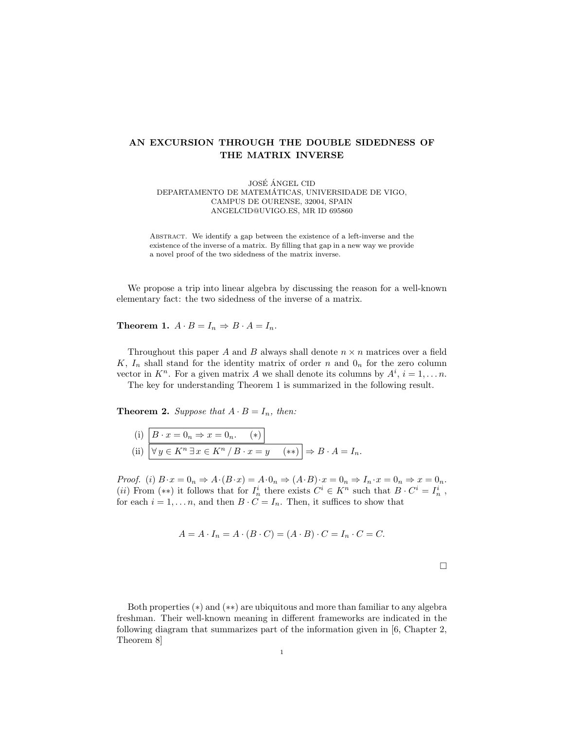## AN EXCURSION THROUGH THE DOUBLE SIDEDNESS OF THE MATRIX INVERSE

JOSÉ ÁNGEL CID DEPARTAMENTO DE MATEMATICAS, UNIVERSIDADE DE VIGO, ´ CAMPUS DE OURENSE, 32004, SPAIN ANGELCID@UVIGO.ES, MR ID 695860

ABSTRACT. We identify a gap between the existence of a left-inverse and the existence of the inverse of a matrix. By filling that gap in a new way we provide a novel proof of the two sidedness of the matrix inverse.

We propose a trip into linear algebra by discussing the reason for a well-known elementary fact: the two sidedness of the inverse of a matrix.

Theorem 1.  $A \cdot B = I_n \Rightarrow B \cdot A = I_n$ .

Throughout this paper A and B always shall denote  $n \times n$  matrices over a field K,  $I_n$  shall stand for the identity matrix of order n and  $0_n$  for the zero column vector in  $K^n$ . For a given matrix A we shall denote its columns by  $A^i$ ,  $i = 1, \ldots n$ .

The key for understanding Theorem 1 is summarized in the following result.

**Theorem 2.** Suppose that  $A \cdot B = I_n$ , then:

(i) 
$$
B \cdot x = 0_n \Rightarrow x = 0_n.
$$
 (\*)  
\n(ii)  $\nabla y \in K^n \exists x \in K^n / B \cdot x = y \quad (**)$   $\Rightarrow B \cdot A = I_n.$ 

Proof. (i)  $B \cdot x = 0_n \Rightarrow A \cdot (B \cdot x) = A \cdot 0_n \Rightarrow (A \cdot B) \cdot x = 0_n \Rightarrow I_n \cdot x = 0_n \Rightarrow x = 0_n$ . (*ii*) From (\*\*) it follows that for  $I_n^i$  there exists  $C^i \in K^n$  such that  $B \cdot C^i = I_n^i$ , for each  $i = 1, ..., n$ , and then  $B \cdot C = I_n$ . Then, it suffices to show that

$$
A = A \cdot I_n = A \cdot (B \cdot C) = (A \cdot B) \cdot C = I_n \cdot C = C.
$$

 $\Box$ 

Both properties (\*) and (\*\*) are ubiquitous and more than familiar to any algebra freshman. Their well-known meaning in different frameworks are indicated in the following diagram that summarizes part of the information given in [6, Chapter 2, Theorem 8]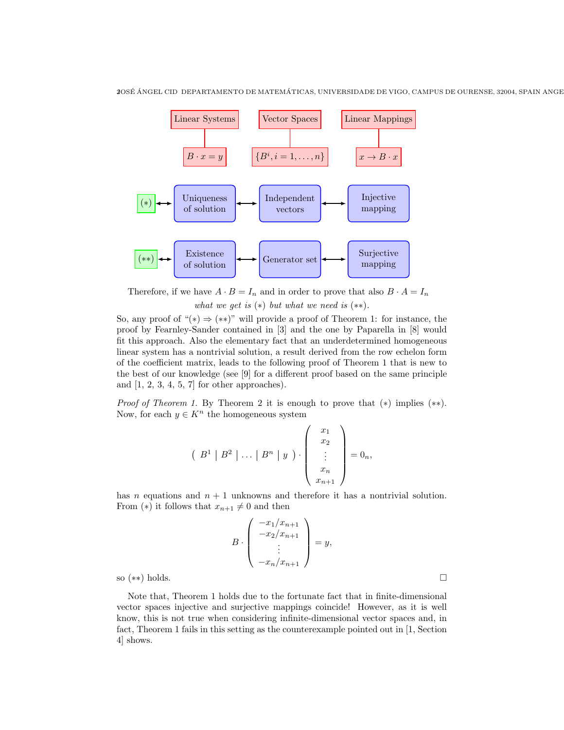

Therefore, if we have  $A \cdot B = I_n$  and in order to prove that also  $B \cdot A = I_n$ what we get is  $(*)$  but what we need is  $(**)$ .

So, any proof of " $(*) \Rightarrow$  (\*\*)" will provide a proof of Theorem 1: for instance, the proof by Fearnley-Sander contained in [3] and the one by Paparella in [8] would fit this approach. Also the elementary fact that an underdetermined homogeneous linear system has a nontrivial solution, a result derived from the row echelon form of the coefficient matrix, leads to the following proof of Theorem 1 that is new to the best of our knowledge (see [9] for a different proof based on the same principle and  $[1, 2, 3, 4, 5, 7]$  for other approaches).

*Proof of Theorem 1.* By Theorem 2 it is enough to prove that  $(*)$  implies  $(**)$ . Now, for each  $y \in K^n$  the homogeneous system

$$
\left(\begin{array}{c|c|c} B^1 & B^2 & \ldots & B^n & y \end{array}\right) \cdot \left(\begin{array}{c} x_1 \\ x_2 \\ \vdots \\ x_n \\ x_{n+1} \end{array}\right) = 0_n,
$$

has n equations and  $n + 1$  unknowns and therefore it has a nontrivial solution. From (\*) it follows that  $x_{n+1} \neq 0$  and then

$$
B \cdot \left( \begin{array}{c} -x_1/x_{n+1} \\ -x_2/x_{n+1} \\ \vdots \\ -x_n/x_{n+1} \end{array} \right) = y,
$$

so (∗∗) holds.

Note that, Theorem 1 holds due to the fortunate fact that in finite-dimensional vector spaces injective and surjective mappings coincide! However, as it is well know, this is not true when considering infinite-dimensional vector spaces and, in fact, Theorem 1 fails in this setting as the counterexample pointed out in [1, Section 4] shows.